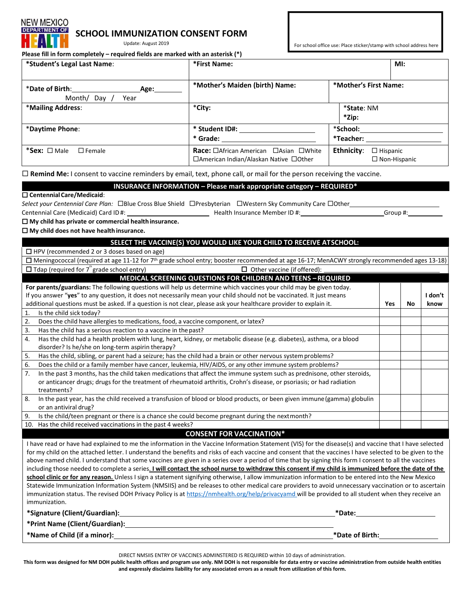# NEW MEXICO **ARTMENT OF**

## **SCHOOL IMMUNIZATION CONSENT FORM**

Update: August 2019

**Please fill in form completely – required fields are marked with an asterisk (\*)**

| icase iiii iii iuliii completely – regulieu helus are markeu with all asterisk ( ) |                                                                                        |                                                      |  |  |
|------------------------------------------------------------------------------------|----------------------------------------------------------------------------------------|------------------------------------------------------|--|--|
| *Student's Legal Last Name:                                                        | *First Name:<br>Ml:                                                                    |                                                      |  |  |
| *Date of Birth:<br>Age:<br>Month/ Day /<br>Year                                    | *Mother's Maiden (birth) Name:                                                         | *Mother's First Name:                                |  |  |
| *Mailing Address:                                                                  | *City:                                                                                 | *State: NM<br>*Zip:                                  |  |  |
| *Daytime Phone:                                                                    | * Student ID#:<br>* Grade:                                                             | *School:<br>*Teacher:                                |  |  |
| *Sex: □ Male<br>$\square$ Female                                                   | <b>Race:</b> □African American □Asian □White<br>□American Indian/Alaskan Native □Other | Ethnicity:<br>$\Box$ Hispanic<br>$\Box$ Non-Hispanic |  |  |

**Remind Me:** I consent to vaccine reminders by email, text, phone call, or mail for the person receiving the vaccine.

#### **INSURANCE INFORMATION – Please mark appropriate category – REQUIRED\***

#### **CentennialCare/Medicaid**:

immunization.

*Select your Centennial Care Plan:* □Blue Cross Blue Shield □Presbyterian □Western Sky Community Care □Other

Centennial Care (Medicaid) Card ID #: \_\_\_\_\_\_\_\_\_\_\_\_\_\_\_\_\_\_\_\_\_\_\_\_\_\_\_\_\_\_\_\_\_\_Health Insurance Member ID #: \_\_\_\_\_\_\_\_\_\_\_\_\_\_\_\_\_\_\_\_\_\_\_\_Group #:

## **My child has private or commercial healthinsurance.**

**My child does not have healthinsurance.**

### **SELECT THE VACCINE(S) YOU WOULD LIKE YOUR CHILD TO RECEIVE ATSCHOOL:**  $\Box$  HPV (recommended 2 or 3 doses based on age)  $\Box$  Meningococcal (required at age 11-12 for 7<sup>th</sup> grade school entry; booster recommended at age 16-17; MenACWY strongly recommended ages 13-18)  $\square$  Tdap (required for 7<sup>th</sup> grade school entry)  $\square$  Other vaccine (if offered): **MEDICAL SCREENING QUESTIONS FOR CHILDREN AND TEENS –REQUIRED For parents/guardians:** The following questions will help us determine which vaccines your child may be given today. If you answer "**yes**" to any question, it does not necessarily mean your child should not be vaccinated. It just means additional questions must be asked. If a question is not clear, please ask your healthcare provider to explain it. **Yes No I don't know** 1. Is the child sick today? 2. Does the child have allergies to medications, food, a vaccine component, or latex? 3. Has the child has a serious reaction to a vaccine in thepast? 4. Has the child had a health problem with lung, heart, kidney, or metabolic disease (e.g. diabetes), asthma, ora blood disorder? Is he/she on long-term aspirin therapy? 5. Has the child, sibling, or parent had a seizure; has the child had a brain or other nervous systemproblems? 6. Does the child or a family member have cancer, leukemia, HIV/AIDS, or any other immune system problems? 7. In the past 3 months, has the child taken medications that affect the immune system such as prednisone, other steroids, or anticancer drugs; drugs for the treatment of rheumatoid arthritis, Crohn's disease, or psoriasis; or had radiation treatments? 8. In the past year, has the child received a transfusion of blood or blood products, or been given immune(gamma) globulin or an antiviral drug? 9. Is the child/teen pregnant or there is a chance she could become pregnant during the nextmonth? 10. Has the child received vaccinations in the past 4 weeks? **CONSENT FOR VACCINATION\*** I have read or have had explained to me the information in the Vaccine Information Statement (VIS) for the disease(s) and vaccine that I have selected for my child on the attached letter. I understand the benefits and risks of each vaccine and consent that the vaccines I have selected to be given to the above named child. I understand that some vaccines are given in a series over a period of time that by signing this form I consent to all the vaccines including those needed to complete a series. **I will contact the school nurse to withdraw this consent if my child is immunized before the date of the school clinic or for any reason.** Unless I sign a statement signifying otherwise, I allow immunization information to be entered into the New Mexico Statewide Immunization Information System (NMSIIS) and be releases to other medical care providers to avoid unnecessary vaccination or to ascertain immunization status. The revised DOH Privacy Policy is at https://nmhealth.org/help/privacyamd will be provided to all student when they receive an

| *Signature (Client/Guardian):  | *Date:          |
|--------------------------------|-----------------|
| *Print Name (Client/Guardian): |                 |
| *Name of Child (if a minor):   | *Date of Birth: |

DIRECT NMSIIS ENTRY OF VACCINES ADMINSTERED IS REQUIRED within 10 days of administration.

**This form was designed for NM DOH public health offices and program use only. NM DOH is not responsible for data entry or vaccine administration from outside health entities and expressly disclaims liability for any associated errors as a result from utilization of this form.**

For school office use: Place sticker/stamp with school address here